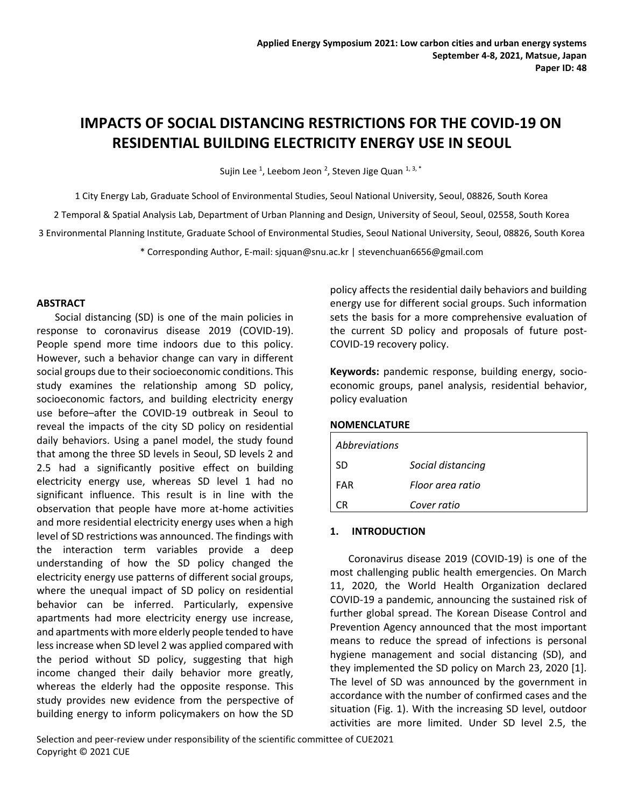# **IMPACTS OF SOCIAL DISTANCING RESTRICTIONS FOR THE COVID-19 ON RESIDENTIAL BUILDING ELECTRICITY ENERGY USE IN SEOUL**

Sujin Lee  $^1$ , Leebom Jeon  $^2$ , Steven Jige Quan  $^{1,3,*}$ 

1 City Energy Lab, Graduate School of Environmental Studies, Seoul National University, Seoul, 08826, South Korea

2 Temporal & Spatial Analysis Lab, Department of Urban Planning and Design, University of Seoul, Seoul, 02558, South Korea 3 Environmental Planning Institute, Graduate School of Environmental Studies, Seoul National University, Seoul, 08826, South Korea

\* Corresponding Author, E-mail: sjquan@snu.ac.kr | stevenchuan6656@gmail.com

#### **ABSTRACT**

Social distancing (SD) is one of the main policies in response to coronavirus disease 2019 (COVID-19). People spend more time indoors due to this policy. However, such a behavior change can vary in different social groups due to their socioeconomic conditions. This study examines the relationship among SD policy, socioeconomic factors, and building electricity energy use before–after the COVID-19 outbreak in Seoul to reveal the impacts of the city SD policy on residential daily behaviors. Using a panel model, the study found that among the three SD levels in Seoul, SD levels 2 and 2.5 had a significantly positive effect on building electricity energy use, whereas SD level 1 had no significant influence. This result is in line with the observation that people have more at-home activities and more residential electricity energy uses when a high level of SD restrictions was announced. The findings with the interaction term variables provide a deep understanding of how the SD policy changed the electricity energy use patterns of different social groups, where the unequal impact of SD policy on residential behavior can be inferred. Particularly, expensive apartments had more electricity energy use increase, and apartments with more elderly people tended to have less increase when SD level 2 was applied compared with the period without SD policy, suggesting that high income changed their daily behavior more greatly, whereas the elderly had the opposite response. This study provides new evidence from the perspective of building energy to inform policymakers on how the SD policy affects the residential daily behaviors and building energy use for different social groups. Such information sets the basis for a more comprehensive evaluation of the current SD policy and proposals of future post-COVID-19 recovery policy.

**Keywords:** pandemic response, building energy, socioeconomic groups, panel analysis, residential behavior, policy evaluation

#### **NOMENCLATURE**

| Abbreviations |                   |
|---------------|-------------------|
| -SD           | Social distancing |
| <b>FAR</b>    | Floor area ratio  |
| ΓR            | Cover ratio       |

#### **1. INTRODUCTION**

Coronavirus disease 2019 (COVID-19) is one of the most challenging public health emergencies. On March 11, 2020, the World Health Organization declared COVID-19 a pandemic, announcing the sustained risk of further global spread. The Korean Disease Control and Prevention Agency announced that the most important means to reduce the spread of infections is personal hygiene management and social distancing (SD), and they implemented the SD policy on March 23, 2020 [1]. The level of SD was announced by the government in accordance with the number of confirmed cases and the situation (Fig. 1). With the increasing SD level, outdoor activities are more limited. Under SD level 2.5, the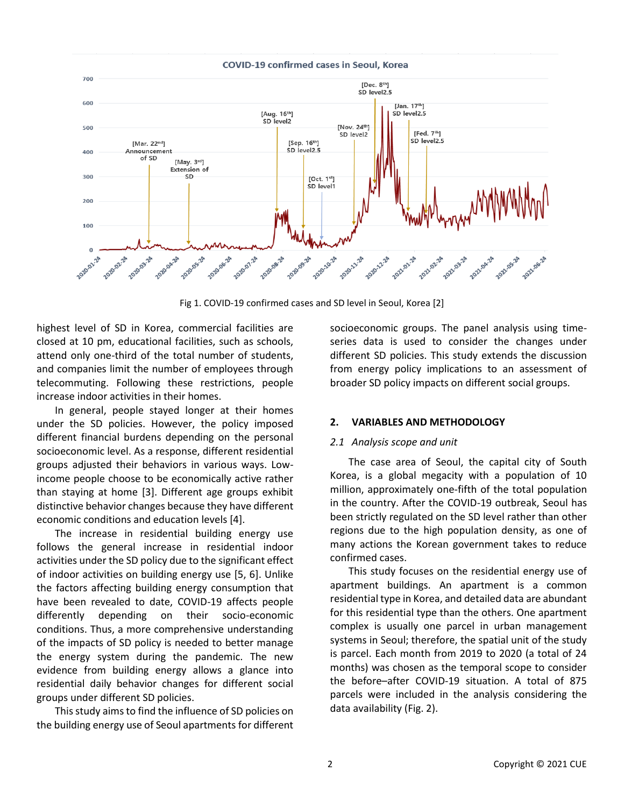

Fig 1. COVID-19 confirmed cases and SD level in Seoul, Korea [2]

highest level of SD in Korea, commercial facilities are closed at 10 pm, educational facilities, such as schools, attend only one-third of the total number of students, and companies limit the number of employees through telecommuting. Following these restrictions, people increase indoor activities in their homes.

In general, people stayed longer at their homes under the SD policies. However, the policy imposed different financial burdens depending on the personal socioeconomic level. As a response, different residential groups adjusted their behaviors in various ways. Lowincome people choose to be economically active rather than staying at home [3]. Different age groups exhibit distinctive behavior changes because they have different economic conditions and education levels [4].

The increase in residential building energy use follows the general increase in residential indoor activities under the SD policy due to the significant effect of indoor activities on building energy use [5, 6]. Unlike the factors affecting building energy consumption that have been revealed to date, COVID-19 affects people differently depending on their socio-economic conditions. Thus, a more comprehensive understanding of the impacts of SD policy is needed to better manage the energy system during the pandemic. The new evidence from building energy allows a glance into residential daily behavior changes for different social groups under different SD policies.

This study aims to find the influence of SD policies on the building energy use of Seoul apartments for different socioeconomic groups. The panel analysis using timeseries data is used to consider the changes under different SD policies. This study extends the discussion from energy policy implications to an assessment of broader SD policy impacts on different social groups.

## **2. VARIABLES AND METHODOLOGY**

### *2.1 Analysis scope and unit*

The case area of Seoul, the capital city of South Korea, is a global megacity with a population of 10 million, approximately one-fifth of the total population in the country. After the COVID-19 outbreak, Seoul has been strictly regulated on the SD level rather than other regions due to the high population density, as one of many actions the Korean government takes to reduce confirmed cases.

This study focuses on the residential energy use of apartment buildings. An apartment is a common residential type in Korea, and detailed data are abundant for this residential type than the others. One apartment complex is usually one parcel in urban management systems in Seoul; therefore, the spatial unit of the study is parcel. Each month from 2019 to 2020 (a total of 24 months) was chosen as the temporal scope to consider the before–after COVID-19 situation. A total of 875 parcels were included in the analysis considering the data availability (Fig. 2).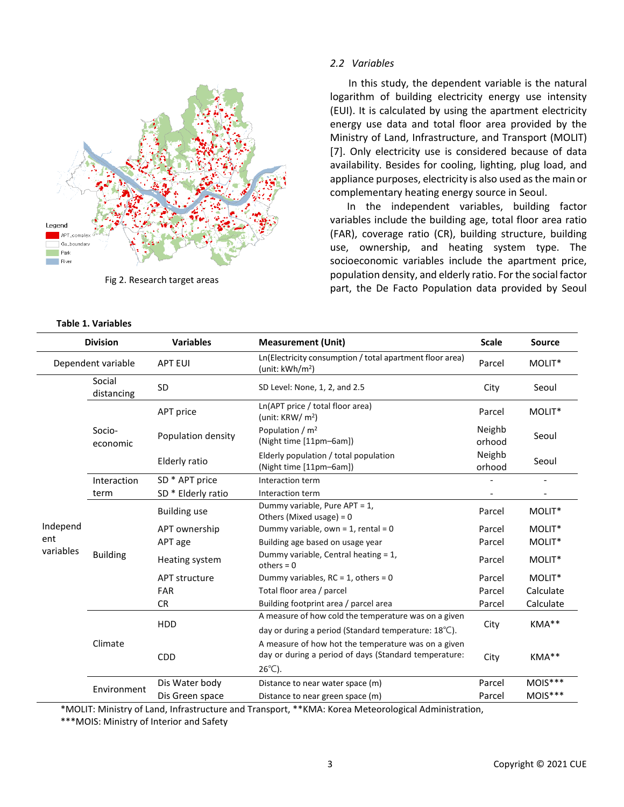

Fig 2. Research target areas

#### **Table 1. Variables**

#### *2.2 Variables*

In this study, the dependent variable is the natural logarithm of building electricity energy use intensity (EUI). It is calculated by using the apartment electricity energy use data and total floor area provided by the Ministry of Land, Infrastructure, and Transport (MOLIT) [7]. Only electricity use is considered because of data availability. Besides for cooling, lighting, plug load, and appliance purposes, electricity is also used as the main or complementary heating energy source in Seoul.

In the independent variables, building factor variables include the building age, total floor area ratio (FAR), coverage ratio (CR), building structure, building use, ownership, and heating system type. The socioeconomic variables include the apartment price, population density, and elderly ratio. For the social factor part, the De Facto Population data provided by Seoul

| <b>Division</b>              |                      | <b>Variables</b>                                                                  | <b>Measurement (Unit)</b>                                                                                                        | <b>Scale</b>     | <b>Source</b>  |
|------------------------------|----------------------|-----------------------------------------------------------------------------------|----------------------------------------------------------------------------------------------------------------------------------|------------------|----------------|
| Dependent variable           |                      | <b>APT EUI</b>                                                                    | Ln(Electricity consumption / total apartment floor area)<br>(unit: kWh/m <sup>2</sup> )                                          | Parcel           | MOLIT*         |
| Independ<br>ent<br>variables | Social<br>distancing | SD                                                                                | SD Level: None, 1, 2, and 2.5                                                                                                    | City             | Seoul          |
|                              | Socio-<br>economic   | APT price                                                                         | Ln(APT price / total floor area)<br>(unit: KRW/ m <sup>2</sup> )                                                                 | Parcel           | MOLIT*         |
|                              |                      | Population density                                                                | Population / m <sup>2</sup><br>(Night time [11pm-6am])                                                                           | Neighb<br>orhood | Seoul          |
|                              |                      | Elderly population / total population<br>Elderly ratio<br>(Night time [11pm-6am]) |                                                                                                                                  | Neighb<br>orhood | Seoul          |
|                              | Interaction          | SD * APT price                                                                    | Interaction term                                                                                                                 |                  |                |
|                              | term                 | SD * Elderly ratio<br>Interaction term                                            |                                                                                                                                  |                  | $\overline{a}$ |
|                              | <b>Building</b>      | <b>Building use</b>                                                               | Dummy variable, Pure APT = 1,<br>Others (Mixed usage) = $0$                                                                      | Parcel           | MOLIT*         |
|                              |                      | APT ownership<br>Dummy variable, own = $1$ , rental = 0                           |                                                                                                                                  | Parcel           | MOLIT*         |
|                              |                      | APT age                                                                           | Building age based on usage year                                                                                                 | Parcel           | MOLIT*         |
|                              |                      | Heating system                                                                    | Dummy variable, Central heating = 1,<br>others = $0$                                                                             | Parcel           | MOLIT*         |
|                              |                      | <b>APT structure</b><br>Dummy variables, $RC = 1$ , others = 0                    |                                                                                                                                  | Parcel           | MOLIT*         |
|                              |                      | <b>FAR</b><br>Total floor area / parcel                                           |                                                                                                                                  | Parcel           | Calculate      |
|                              |                      | <b>CR</b><br>Building footprint area / parcel area                                |                                                                                                                                  | Parcel           | Calculate      |
|                              | Climate              | <b>HDD</b>                                                                        | A measure of how cold the temperature was on a given<br>day or during a period (Standard temperature: 18°C).                     | City             | KMA**          |
|                              |                      | <b>CDD</b>                                                                        | A measure of how hot the temperature was on a given<br>day or during a period of days (Standard temperature:<br>$26^{\circ}$ C). |                  | $KMA**$        |
|                              | Environment          | Dis Water body                                                                    | Distance to near water space (m)                                                                                                 | Parcel           | MOIS***        |
|                              |                      | Dis Green space                                                                   | Distance to near green space (m)                                                                                                 |                  |                |

\*MOLIT: Ministry of Land, Infrastructure and Transport, \*\*KMA: Korea Meteorological Administration,

\*\*\*MOIS: Ministry of Interior and Safety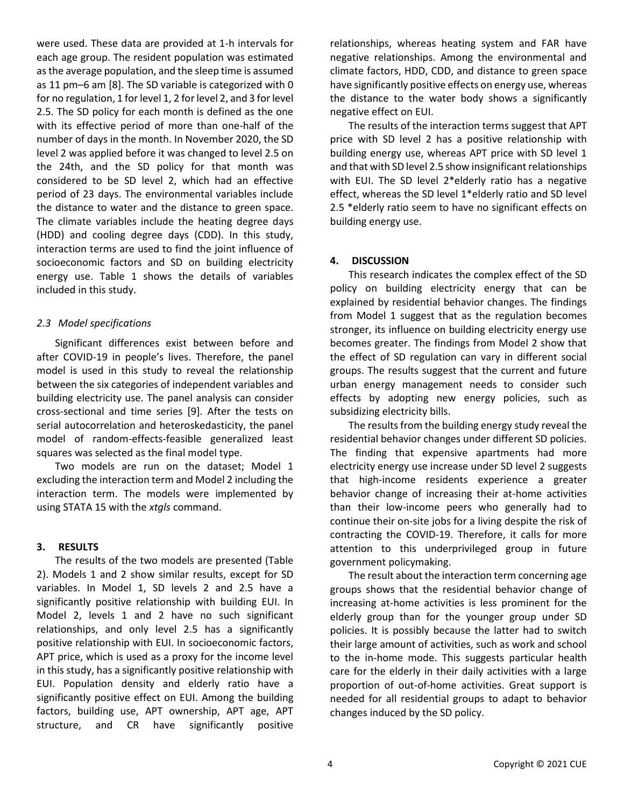were used. These data are provided at 1-h intervals for each age group. The resident population was estimated as the average population, and the sleep time is assumed as 11 pm–6 am [8]. The SD variable is categorized with 0 for no regulation, 1 for level 1, 2 for level 2, and 3 for level 2.5. The SD policy for each month is defined as the one with its effective period of more than one-half of the number of days in the month. In November 2020, the SD level 2 was applied before it was changed to level 2.5 on the 24th, and the SD policy for that month was considered to be SD level 2, which had an effective period of 23 days. The environmental variables include the distance to water and the distance to green space. The climate variables include the heating degree days (HDD) and cooling degree days (CDD). In this study, interaction terms are used to find the joint influence of socioeconomic factors and SD on building electricity energy use. Table 1 shows the details of variables included in this study.

#### *2.3 Model specifications*

Significant differences exist between before and after COVID-19 in people's lives. Therefore, the panel model is used in this study to reveal the relationship between the six categories of independent variables and building electricity use. The panel analysis can consider cross-sectional and time series [9]. After the tests on serial autocorrelation and heteroskedasticity, the panel model of random-effects-feasible generalized least squares was selected as the final model type.

Two models are run on the dataset; Model 1 excluding the interaction term and Model 2 including the interaction term. The models were implemented by using STATA 15 with the *xtgls* command.

#### **3. RESULTS**

The results of the two models are presented (Table 2). Models 1 and 2 show similar results, except for SD variables. In Model 1, SD levels 2 and 2.5 have a significantly positive relationship with building EUI. In Model 2, levels 1 and 2 have no such significant relationships, and only level 2.5 has a significantly positive relationship with EUI. In socioeconomic factors, APT price, which is used as a proxy for the income level in this study, has a significantly positive relationship with EUI. Population density and elderly ratio have a significantly positive effect on EUI. Among the building factors, building use, APT ownership, APT age, APT structure, and CR have significantly positive relationships, whereas heating system and FAR have negative relationships. Among the environmental and climate factors, HDD, CDD, and distance to green space have significantly positive effects on energy use, whereas the distance to the water body shows a significantly negative effect on EUI.

The results of the interaction terms suggest that APT price with SD level 2 has a positive relationship with building energy use, whereas APT price with SD level 1 and that with SD level 2.5 show insignificant relationships with EUI. The SD level 2\*elderly ratio has a negative effect, whereas the SD level 1\*elderly ratio and SD level 2.5 \*elderly ratio seem to have no significant effects on building energy use.

#### **4. DISCUSSION**

This research indicates the complex effect of the SD policy on building electricity energy that can be explained by residential behavior changes. The findings from Model 1 suggest that as the regulation becomes stronger, its influence on building electricity energy use becomes greater. The findings from Model 2 show that the effect of SD regulation can vary in different social groups. The results suggest that the current and future urban energy management needs to consider such effects by adopting new energy policies, such as subsidizing electricity bills.

The results from the building energy study reveal the residential behavior changes under different SD policies. The finding that expensive apartments had more electricity energy use increase under SD level 2 suggests that high-income residents experience a greater behavior change of increasing their at-home activities than their low-income peers who generally had to continue their on-site jobs for a living despite the risk of contracting the COVID-19. Therefore, it calls for more attention to this underprivileged group in future government policymaking.

The result about the interaction term concerning age groups shows that the residential behavior change of increasing at-home activities is less prominent for the elderly group than for the younger group under SD policies. It is possibly because the latter had to switch their large amount of activities, such as work and school to the in-home mode. This suggests particular health care for the elderly in their daily activities with a large proportion of out-of-home activities. Great support is needed for all residential groups to adapt to behavior changes induced by the SD policy.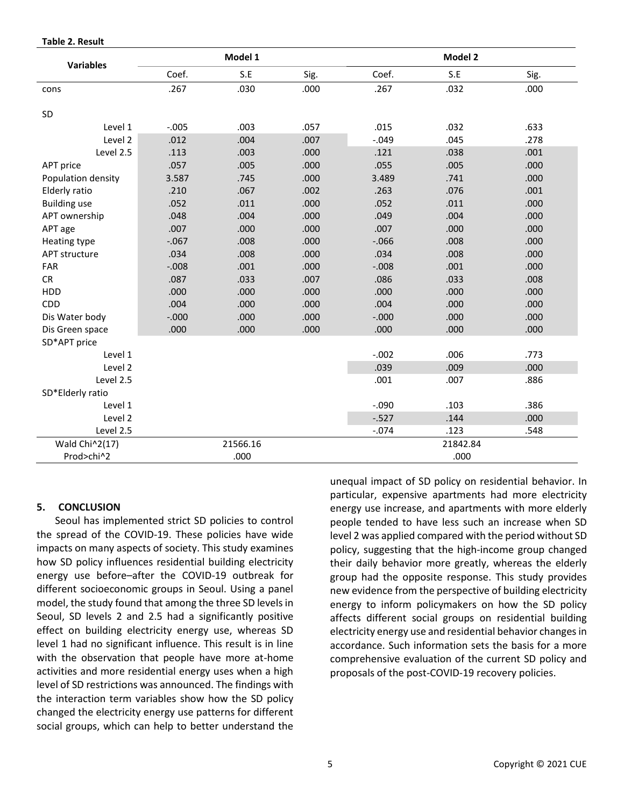#### **Table 2. Result**

| <b>Variables</b>     | Model 1  |          |      | Model 2  |      |      |
|----------------------|----------|----------|------|----------|------|------|
|                      | Coef.    | S.E      | Sig. | Coef.    | S.E  | Sig. |
| cons                 | .267     | .030     | .000 | .267     | .032 | .000 |
| SD                   |          |          |      |          |      |      |
| Level 1              | $-.005$  | .003     | .057 | .015     | .032 | .633 |
| Level 2              | .012     | .004     | .007 | $-.049$  | .045 | .278 |
| Level 2.5            | .113     | .003     | .000 | .121     | .038 | .001 |
| APT price            | .057     | .005     | .000 | .055     | .005 | .000 |
| Population density   | 3.587    | .745     | .000 | 3.489    | .741 | .000 |
| Elderly ratio        | .210     | .067     | .002 | .263     | .076 | .001 |
| <b>Building use</b>  | .052     | .011     | .000 | .052     | .011 | .000 |
| APT ownership        | .048     | .004     | .000 | .049     | .004 | .000 |
| APT age              | .007     | .000     | .000 | .007     | .000 | .000 |
| Heating type         | $-.067$  | .008     | .000 | $-0.066$ | .008 | .000 |
| <b>APT structure</b> | .034     | .008     | .000 | .034     | .008 | .000 |
| FAR                  | $-0.008$ | .001     | .000 | $-0.008$ | .001 | .000 |
| <b>CR</b>            | .087     | .033     | .007 | .086     | .033 | .008 |
| HDD                  | .000     | .000     | .000 | .000     | .000 | .000 |
| CDD                  | .004     | .000     | .000 | .004     | .000 | .000 |
| Dis Water body       | $-.000$  | .000     | .000 | $-0.000$ | .000 | .000 |
| Dis Green space      | .000     | .000     | .000 | .000     | .000 | .000 |
| SD*APT price         |          |          |      |          |      |      |
| Level 1              |          |          |      | $-0.002$ | .006 | .773 |
| Level 2              |          |          |      | .039     | .009 | .000 |
| Level 2.5            |          |          |      | .001     | .007 | .886 |
| SD*Elderly ratio     |          |          |      |          |      |      |
| Level 1              |          | $-0.090$ | .103 | .386     |      |      |
| Level 2              |          | $-0.527$ | .144 | .000     |      |      |
| Level 2.5            |          |          |      | $-.074$  | .123 | .548 |
| Wald Chi^2(17)       |          | 21566.16 |      | 21842.84 |      |      |
| Prod>chi^2           |          | .000     |      |          | .000 |      |

#### **5. CONCLUSION**

Seoul has implemented strict SD policies to control the spread of the COVID-19. These policies have wide impacts on many aspects of society. This study examines how SD policy influences residential building electricity energy use before–after the COVID-19 outbreak for different socioeconomic groups in Seoul. Using a panel model, the study found that among the three SD levels in Seoul, SD levels 2 and 2.5 had a significantly positive effect on building electricity energy use, whereas SD level 1 had no significant influence. This result is in line with the observation that people have more at-home activities and more residential energy uses when a high level of SD restrictions was announced. The findings with the interaction term variables show how the SD policy changed the electricity energy use patterns for different social groups, which can help to better understand the

unequal impact of SD policy on residential behavior. In particular, expensive apartments had more electricity energy use increase, and apartments with more elderly people tended to have less such an increase when SD level 2 was applied compared with the period without SD policy, suggesting that the high-income group changed their daily behavior more greatly, whereas the elderly group had the opposite response. This study provides new evidence from the perspective of building electricity energy to inform policymakers on how the SD policy affects different social groups on residential building electricity energy use and residential behavior changes in accordance. Such information sets the basis for a more comprehensive evaluation of the current SD policy and proposals of the post-COVID-19 recovery policies.